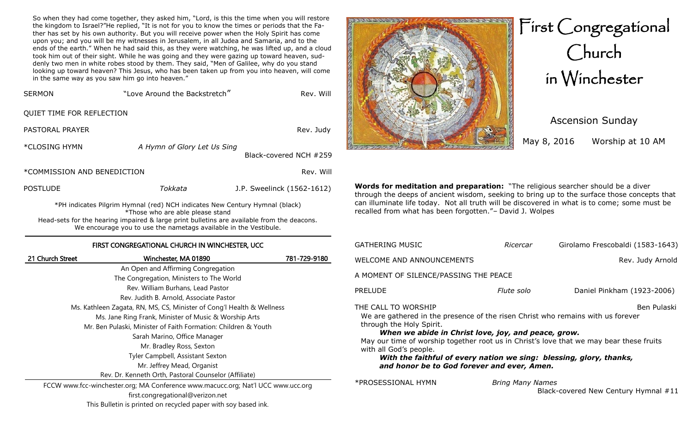So when they had come together, they asked him, "Lord, is this the time when you will restore the kingdom to Israel?"He replied, "It is not for you to know the times or periods that the Father has set by his own authority. But you will receive power when the Holy Spirit has come upon you; and you will be my witnesses in Jerusalem, in all Judea and Samaria, and to the ends of the earth." When he had said this, as they were watching, he was lifted up, and a cloud took him out of their sight. While he was going and they were gazing up toward heaven, suddenly two men in white robes stood by them. They said, "Men of Galilee, why do you stand looking up toward heaven? This Jesus, who has been taken up from you into heaven, will come in the same way as you saw him go into heaven."

| <b>SERMON</b>                                                                                                   | "Love Around the Backstretch" | Rev. Will                  |
|-----------------------------------------------------------------------------------------------------------------|-------------------------------|----------------------------|
| QUIET TIME FOR REFLECTION                                                                                       |                               |                            |
| PASTORAL PRAYER                                                                                                 |                               | Rev. Judy                  |
| *CLOSING HYMN                                                                                                   | A Hymn of Glory Let Us Sing   | Black-covered NCH #259     |
| *COMMISSION AND BENEDICTION                                                                                     |                               | Rev. Will                  |
| <b>POSTLUDE</b>                                                                                                 | Tokkata                       | J.P. Sweelinck (1562-1612) |
| *PH indicates Pilgrim Hymnal (red) NCH indicates New Century Hymnal (black)<br>*Those who are able please stand |                               |                            |

Those who are able please stand Head-sets for the hearing impaired & large print bulletins are available from the deacons. We encourage you to use the nametags available in the Vestibule.

### FIRST CONGREGATIONAL CHURCH IN WINCHESTER, UCC

| 21 Church Street | Winchester, MA 01890                                                             | 781-729-9180 |
|------------------|----------------------------------------------------------------------------------|--------------|
|                  | An Open and Affirming Congregation                                               |              |
|                  | The Congregation, Ministers to The World                                         |              |
|                  | Rev. William Burhans, Lead Pastor                                                |              |
|                  | Rev. Judith B. Arnold, Associate Pastor                                          |              |
|                  | Ms. Kathleen Zagata, RN, MS, CS, Minister of Cong'l Health & Wellness            |              |
|                  | Ms. Jane Ring Frank, Minister of Music & Worship Arts                            |              |
|                  | Mr. Ben Pulaski, Minister of Faith Formation: Children & Youth                   |              |
|                  | Sarah Marino, Office Manager                                                     |              |
|                  | Mr. Bradley Ross, Sexton                                                         |              |
|                  | Tyler Campbell, Assistant Sexton                                                 |              |
|                  | Mr. Jeffrey Mead, Organist                                                       |              |
|                  | Rev. Dr. Kenneth Orth, Pastoral Counselor (Affiliate)                            |              |
|                  | FCCW www.fcc-winchester.org; MA Conference www.macucc.org; Nat'l UCC www.ucc.org |              |
|                  | first.congregational@verizon.net                                                 |              |



Ascension Sunday

May 8, 2016 Worship at 10 AM

**Words for meditation and preparation:** "The religious searcher should be a diver through the deeps of ancient wisdom, seeking to bring up to the surface those concepts that can illuminate life today. Not all truth will be discovered in what is to come; some must be recalled from what has been forgotten."– David J. Wolpes

| <b>GATHERING MUSIC</b>                                                                                                                                                                                                                                                                                                                                                                                                                              | Ricercar                | Girolamo Frescobaldi (1583-1643) |  |
|-----------------------------------------------------------------------------------------------------------------------------------------------------------------------------------------------------------------------------------------------------------------------------------------------------------------------------------------------------------------------------------------------------------------------------------------------------|-------------------------|----------------------------------|--|
| WELCOME AND ANNOUNCEMENTS                                                                                                                                                                                                                                                                                                                                                                                                                           |                         | Rev. Judy Arnold                 |  |
| A MOMENT OF SILENCE/PASSING THE PEACE                                                                                                                                                                                                                                                                                                                                                                                                               |                         |                                  |  |
| <b>PRELUDE</b>                                                                                                                                                                                                                                                                                                                                                                                                                                      | Flute solo              | Daniel Pinkham (1923-2006)       |  |
| THE CALL TO WORSHIP<br>Ben Pulaski<br>We are gathered in the presence of the risen Christ who remains with us forever<br>through the Holy Spirit.<br>When we abide in Christ love, joy, and peace, grow.<br>May our time of worship together root us in Christ's love that we may bear these fruits<br>with all God's people.<br>With the faithful of every nation we sing: blessing, glory, thanks,<br>and honor be to God forever and ever, Amen. |                         |                                  |  |
| *PROSESSIONAL HYMN                                                                                                                                                                                                                                                                                                                                                                                                                                  | <b>Bring Many Names</b> |                                  |  |

Black-covered New Century Hymnal #11

This Bulletin is printed on recycled paper with soy based ink.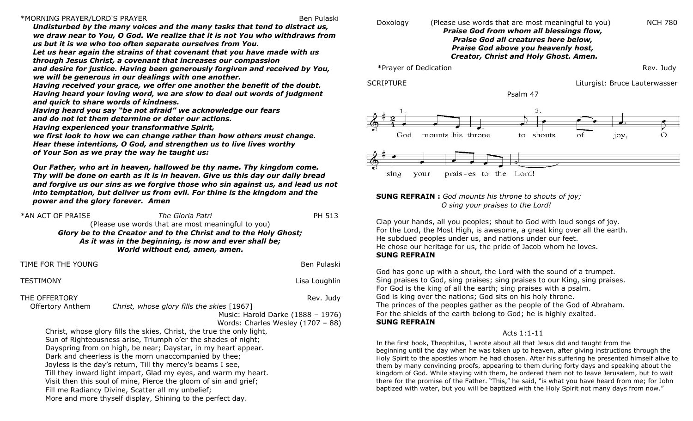#### \*MORNING PRAYER/LORD'S PRAYER Ben Pulaski

*Undisturbed by the many voices and the many tasks that tend to distract us, we draw near to You, O God. We realize that it is not You who withdraws from us but it is we who too often separate ourselves from You.* 

*Let us hear again the strains of that covenant that you have made with us through Jesus Christ, a covenant that increases our compassion* 

*and desire for justice. Having been generously forgiven and received by You, we will be generous in our dealings with one another.* 

*Having received your grace, we offer one another the benefit of the doubt. Having heard your loving word, we are slow to deal out words of judgment and quick to share words of kindness.* 

*Having heard you say "be not afraid" we acknowledge our fears* 

*and do not let them determine or deter our actions.* 

*Having experienced your transformative Spirit,* 

*we first look to how we can change rather than how others must change. Hear these intentions, O God, and strengthen us to live lives worthy of Your Son as we pray the way he taught us:*

*Our Father, who art in heaven, hallowed be thy name. Thy kingdom come. Thy will be done on earth as it is in heaven. Give us this day our daily bread and forgive us our sins as we forgive those who sin against us, and lead us not into temptation, but deliver us from evil. For thine is the kingdom and the power and the glory forever. Amen*

| *AN ACT OF PRAISE | The Gloria Patri                                                 | PH 513 |
|-------------------|------------------------------------------------------------------|--------|
|                   | (Please use words that are most meaningful to you)               |        |
|                   | Glory be to the Creator and to the Christ and to the Holy Ghost; |        |
|                   | As it was in the beginning, is now and ever shall be;            |        |
|                   | World without end, amen, amen.                                   |        |

TIME FOR THE YOUNG BENGLAM BENGLAM BENGLAM BENGLAM BENGLAM BENGLAM BENGLAM BENGLAM BENGLAM BENGLAM BENGLAM BENGLAM BENGLAM BENGLAM BENGLAM BENGLAM BENGLAM BENGLAM BENGLAM BENGLAM BENGLAM BENGLAM BENGLAM BENGLAM BENGLAM BEN TESTIMONY **STEP IN THE STEP IN THE STEP IN THE STEP IN THE STEP IN THE STEP IN THE STEP IN THE STEP IN THE STEP IN THE STEP IN THE STEP IN THE STEP IN THE STEP IN THE STEP IN THE STEP IN THE STEP IN THE STEP IN THE STEP IN** THE OFFERTORY **Rev. Judy Rev. 3** and *Rev. 1* and *Rev. 1 and Rev. 7 and 7 and 7 and 7 and 7 and 7 and 7 and 7 and 7 and 7 and 7 and 7 and 7 and 7 and 7 and 7 and 7 and 7 and 7 and 7 and 7 and 7 and 7 and 7 and 7 and 7*  Offertory Anthem *Christ, whose glory fills the skies* [1967] Music: Harold Darke (1888 – 1976) Words: Charles Wesley (1707 – 88) Christ, whose glory fills the skies, Christ, the true the only light, Sun of Righteousness arise, Triumph o'er the shades of night; Dayspring from on high, be near; Daystar, in my heart appear. Dark and cheerless is the morn unaccompanied by thee; Joyless is the day's return, Till thy mercy's beams I see, Till they inward light impart, Glad my eyes, and warm my heart. Visit then this soul of mine, Pierce the gloom of sin and grief;

Fill me Radiancy Divine, Scatter all my unbelief;

More and more thyself display, Shining to the perfect day.

#### Doxology (Please use words that are most meaningful to you) NCH 780 *Praise God from whom all blessings flow, Praise God all creatures here below, Praise God above you heavenly host, Creator, Christ and Holy Ghost. Amen.*

\*Prayer of Dedication Rev. Judy

SCRIPTURE **Liturgist: Bruce Lauterwasser** 

Psalm 47



#### **SUNG REFRAIN :** *God mounts his throne to shouts of joy; O sing your praises to the Lord!*

Clap your hands, all you peoples; shout to God with loud songs of joy. For the Lord, the Most High, is awesome, a great king over all the earth. He subdued peoples under us, and nations under our feet. He chose our heritage for us, the pride of Jacob whom he loves. **SUNG REFRAIN**

God has gone up with a shout, the Lord with the sound of a trumpet. Sing praises to God, sing praises; sing praises to our King, sing praises. For God is the king of all the earth; sing praises with a psalm. God is king over the nations; God sits on his holy throne. The princes of the peoples gather as the people of the God of Abraham. For the shields of the earth belong to God; he is highly exalted. **SUNG REFRAIN**

### Acts 1:1-11

In the first book, Theophilus, I wrote about all that Jesus did and taught from the beginning until the day when he was taken up to heaven, after giving instructions through the Holy Spirit to the apostles whom he had chosen. After his suffering he presented himself alive to them by many convincing proofs, appearing to them during forty days and speaking about the kingdom of God. While staying with them, he ordered them not to leave Jerusalem, but to wait there for the promise of the Father. "This," he said, "is what you have heard from me; for John baptized with water, but you will be baptized with the Holy Spirit not many days from now."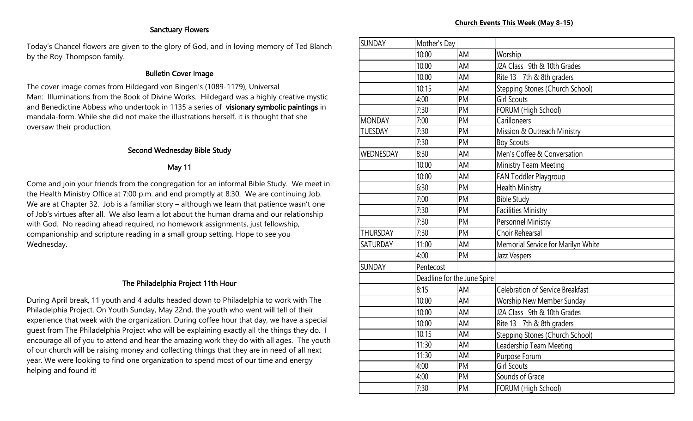## Sanctuary Flowers

Today's Chancel flowers are given to the glory of God, and in loving memory of Ted Blanch by the Roy-Thompson family.

## Bulletin Cover Image

The cover image comes from Hildegard von Bingen's (1089-1179), Universal Man: Illuminations from the Book of Divine Works. Hildegard was a highly creative mystic and Benedictine Abbess who undertook in 1135 a series of visionary symbolic paintings in mandala-form. While she did not make the illustrations herself, it is thought that she oversaw their production.

## Second Wednesday Bible Study

## May 11

Come and join your friends from the congregation for an informal Bible Study. We meet in the Health Ministry Office at 7:00 p.m. and end promptly at 8:30. We are continuing Job. We are at Chapter 32. Job is a familiar story – although we learn that patience wasn't one of Job's virtues after all. We also learn a lot about the human drama and our relationship with God. No reading ahead required, no homework assignments, just fellowship, companionship and scripture reading in a small group setting. Hope to see you Wednesday.

## The Philadelphia Project 11th Hour

During April break, 11 youth and 4 adults headed down to Philadelphia to work with The Philadelphia Project. On Youth Sunday, May 22nd, the youth who went will tell of their experience that week with the organization. During coffee hour that day, we have a special guest from The Philadelphia Project who will be explaining exactly all the things they do. I encourage all of you to attend and hear the amazing work they do with all ages. The youth of our church will be raising money and collecting things that they are in need of all next year. We were looking to find one organization to spend most of our time and energy helping and found it!

| <b>SUNDAY</b>   | Mother's Day                |           |                                         |
|-----------------|-----------------------------|-----------|-----------------------------------------|
|                 | 10:00                       | AM        | Worship                                 |
|                 | 10:00                       | AM        | J2A Class 9th & 10th Grades             |
|                 | 10:00                       | AM        | Rite 13 7th & 8th graders               |
|                 | 10:15                       | AM        | Stepping Stones (Church School)         |
|                 | 4:00                        | PM        | <b>Girl Scouts</b>                      |
|                 | 7:30                        | PM        | FORUM (High School)                     |
| <b>MONDAY</b>   | 7:00                        | PM        | Carilloneers                            |
| <b>TUESDAY</b>  | 7:30                        | PM        | Mission & Outreach Ministry             |
|                 | 7:30                        | PM        | <b>Boy Scouts</b>                       |
| WEDNESDAY       | 8:30                        | AM        | Men's Coffee & Conversation             |
|                 | 10:00                       | AM        | Ministry Team Meeting                   |
|                 | 10:00                       | AM        | FAN Toddler Playgroup                   |
|                 | 6:30                        | PM        | Health Ministry                         |
|                 | 7:00                        | PM        | <b>Bible Study</b>                      |
|                 | 7:30                        | PM        | <b>Facilities Ministry</b>              |
|                 | 7:30                        | PM        | Personnel Ministry                      |
| <b>THURSDAY</b> | 7:30                        | <b>PM</b> | <b>Choir Rehearsal</b>                  |
| SATURDAY        | 11:00                       | AM        | Memorial Service for Marilyn White      |
|                 | 4:00                        | <b>PM</b> | Jazz Vespers                            |
| <b>SUNDAY</b>   | Pentecost                   |           |                                         |
|                 | Deadline for the June Spire |           |                                         |
|                 | 8:15                        | AM        | <b>Celebration of Service Breakfast</b> |
|                 | 10:00                       | AM        | Worship New Member Sunday               |
|                 | 10:00                       | AM        | J2A Class 9th & 10th Grades             |
|                 | 10:00                       | AM        | Rite 13 7th & 8th graders               |
|                 | 10:15                       | AM        | Stepping Stones (Church School)         |
|                 | 11:30                       | AM        | Leadership Team Meeting                 |
|                 | 11:30                       | AM        | Purpose Forum                           |
|                 | 4:00                        | PM        | <b>Girl Scouts</b>                      |
|                 | 4:00                        | PM        | Sounds of Grace                         |
|                 | 7:30                        | PM        | FORUM (High School)                     |